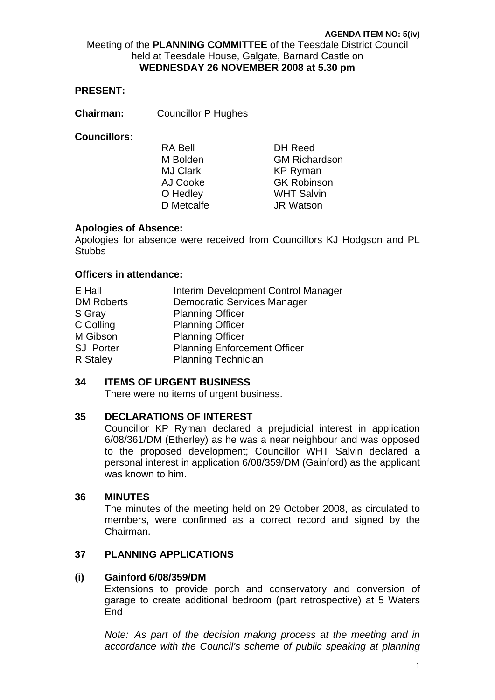Meeting of the **PLANNING COMMITTEE** of the Teesdale District Council held at Teesdale House, Galgate, Barnard Castle on **WEDNESDAY 26 NOVEMBER 2008 at 5.30 pm** 

#### **PRESENT:**

**Chairman:** Councillor P Hughes

#### **Councillors:**

| <b>DH</b> Reed       |
|----------------------|
| <b>GM Richardson</b> |
| <b>KP Ryman</b>      |
| <b>GK Robinson</b>   |
| <b>WHT Salvin</b>    |
| <b>JR Watson</b>     |
|                      |

#### **Apologies of Absence:**

Apologies for absence were received from Councillors KJ Hodgson and PL **Stubbs** 

#### **Officers in attendance:**

| Interim Development Control Manager |
|-------------------------------------|
| <b>Democratic Services Manager</b>  |
| <b>Planning Officer</b>             |
| <b>Planning Officer</b>             |
| <b>Planning Officer</b>             |
| <b>Planning Enforcement Officer</b> |
| <b>Planning Technician</b>          |
|                                     |

#### **34 ITEMS OF URGENT BUSINESS**

There were no items of urgent business.

#### **35 DECLARATIONS OF INTEREST**

Councillor KP Ryman declared a prejudicial interest in application 6/08/361/DM (Etherley) as he was a near neighbour and was opposed to the proposed development; Councillor WHT Salvin declared a personal interest in application 6/08/359/DM (Gainford) as the applicant was known to him.

#### **36 MINUTES**

The minutes of the meeting held on 29 October 2008, as circulated to members, were confirmed as a correct record and signed by the Chairman.

# **37 PLANNING APPLICATIONS**

#### **(i) Gainford 6/08/359/DM**

Extensions to provide porch and conservatory and conversion of garage to create additional bedroom (part retrospective) at 5 Waters **Fnd** 

*Note: As part of the decision making process at the meeting and in accordance with the Council's scheme of public speaking at planning*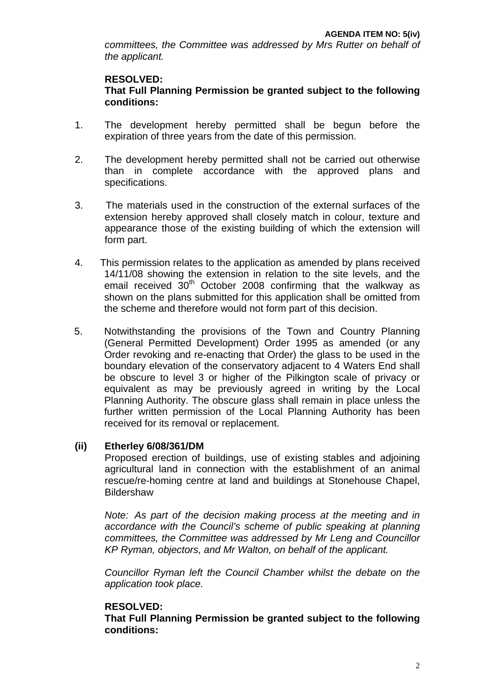*committees, the Committee was addressed by Mrs Rutter on behalf of the applicant.* 

# **RESOLVED:**

# **That Full Planning Permission be granted subject to the following conditions:**

- 1. The development hereby permitted shall be begun before the expiration of three years from the date of this permission.
- 2. The development hereby permitted shall not be carried out otherwise than in complete accordance with the approved plans and specifications.
- 3. The materials used in the construction of the external surfaces of the extension hereby approved shall closely match in colour, texture and appearance those of the existing building of which the extension will form part.
- 4. This permission relates to the application as amended by plans received 14/11/08 showing the extension in relation to the site levels, and the email received  $30<sup>th</sup>$  October 2008 confirming that the walkway as shown on the plans submitted for this application shall be omitted from the scheme and therefore would not form part of this decision.
- 5. Notwithstanding the provisions of the Town and Country Planning (General Permitted Development) Order 1995 as amended (or any Order revoking and re-enacting that Order) the glass to be used in the boundary elevation of the conservatory adjacent to 4 Waters End shall be obscure to level 3 or higher of the Pilkington scale of privacy or equivalent as may be previously agreed in writing by the Local Planning Authority. The obscure glass shall remain in place unless the further written permission of the Local Planning Authority has been received for its removal or replacement.

## **(ii) Etherley 6/08/361/DM**

Proposed erection of buildings, use of existing stables and adjoining agricultural land in connection with the establishment of an animal rescue/re-homing centre at land and buildings at Stonehouse Chapel, **Bildershaw** 

*Note: As part of the decision making process at the meeting and in accordance with the Council's scheme of public speaking at planning committees, the Committee was addressed by Mr Leng and Councillor KP Ryman, objectors, and Mr Walton, on behalf of the applicant.* 

*Councillor Ryman left the Council Chamber whilst the debate on the application took place.* 

# **RESOLVED:**

 **That Full Planning Permission be granted subject to the following conditions:**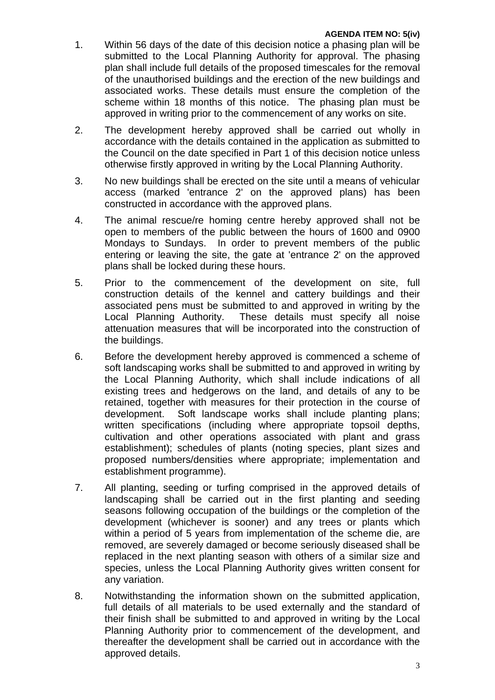- 1. Within 56 days of the date of this decision notice a phasing plan will be submitted to the Local Planning Authority for approval. The phasing plan shall include full details of the proposed timescales for the removal of the unauthorised buildings and the erection of the new buildings and associated works. These details must ensure the completion of the scheme within 18 months of this notice. The phasing plan must be approved in writing prior to the commencement of any works on site.
- 2. The development hereby approved shall be carried out wholly in accordance with the details contained in the application as submitted to the Council on the date specified in Part 1 of this decision notice unless otherwise firstly approved in writing by the Local Planning Authority.
- 3. No new buildings shall be erected on the site until a means of vehicular access (marked 'entrance 2' on the approved plans) has been constructed in accordance with the approved plans.
- 4. The animal rescue/re homing centre hereby approved shall not be open to members of the public between the hours of 1600 and 0900 Mondays to Sundays. In order to prevent members of the public entering or leaving the site, the gate at 'entrance 2' on the approved plans shall be locked during these hours.
- 5. Prior to the commencement of the development on site, full construction details of the kennel and cattery buildings and their associated pens must be submitted to and approved in writing by the Local Planning Authority. These details must specify all noise attenuation measures that will be incorporated into the construction of the buildings.
- 6. Before the development hereby approved is commenced a scheme of soft landscaping works shall be submitted to and approved in writing by the Local Planning Authority, which shall include indications of all existing trees and hedgerows on the land, and details of any to be retained, together with measures for their protection in the course of development. Soft landscape works shall include planting plans; written specifications (including where appropriate topsoil depths, cultivation and other operations associated with plant and grass establishment); schedules of plants (noting species, plant sizes and proposed numbers/densities where appropriate; implementation and establishment programme).
- 7. All planting, seeding or turfing comprised in the approved details of landscaping shall be carried out in the first planting and seeding seasons following occupation of the buildings or the completion of the development (whichever is sooner) and any trees or plants which within a period of 5 years from implementation of the scheme die, are removed, are severely damaged or become seriously diseased shall be replaced in the next planting season with others of a similar size and species, unless the Local Planning Authority gives written consent for any variation.
- 8. Notwithstanding the information shown on the submitted application, full details of all materials to be used externally and the standard of their finish shall be submitted to and approved in writing by the Local Planning Authority prior to commencement of the development, and thereafter the development shall be carried out in accordance with the approved details.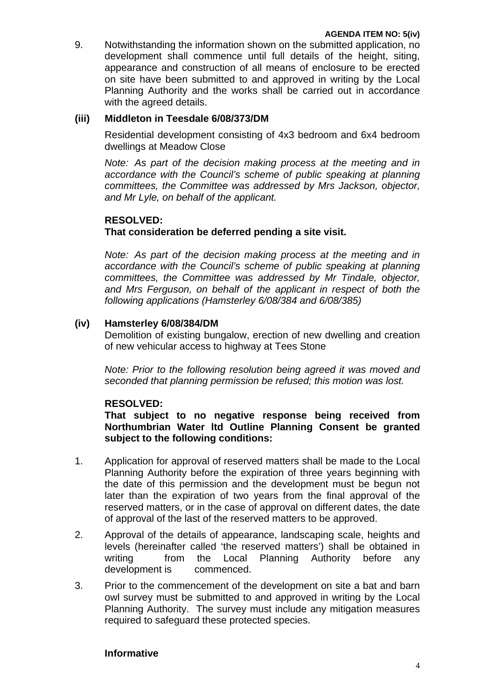9. Notwithstanding the information shown on the submitted application, no development shall commence until full details of the height, siting, appearance and construction of all means of enclosure to be erected on site have been submitted to and approved in writing by the Local Planning Authority and the works shall be carried out in accordance with the agreed details.

# **(iii) Middleton in Teesdale 6/08/373/DM**

Residential development consisting of 4x3 bedroom and 6x4 bedroom dwellings at Meadow Close

*Note: As part of the decision making process at the meeting and in accordance with the Council's scheme of public speaking at planning committees, the Committee was addressed by Mrs Jackson, objector, and Mr Lyle, on behalf of the applicant.* 

## **RESOLVED:**

# **That consideration be deferred pending a site visit.**

*Note: As part of the decision making process at the meeting and in accordance with the Council's scheme of public speaking at planning committees, the Committee was addressed by Mr Tindale, objector, and Mrs Ferguson, on behalf of the applicant in respect of both the following applications (Hamsterley 6/08/384 and 6/08/385)* 

## **(iv) Hamsterley 6/08/384/DM**

Demolition of existing bungalow, erection of new dwelling and creation of new vehicular access to highway at Tees Stone

*Note: Prior to the following resolution being agreed it was moved and seconded that planning permission be refused; this motion was lost.* 

## **RESOLVED:**

 **That subject to no negative response being received from Northumbrian Water ltd Outline Planning Consent be granted subject to the following conditions:** 

- 1. Application for approval of reserved matters shall be made to the Local Planning Authority before the expiration of three years beginning with the date of this permission and the development must be begun not later than the expiration of two years from the final approval of the reserved matters, or in the case of approval on different dates, the date of approval of the last of the reserved matters to be approved.
- 2. Approval of the details of appearance, landscaping scale, heights and levels (hereinafter called 'the reserved matters') shall be obtained in writing trom the Local Planning Authority before any development is commenced.
- 3. Prior to the commencement of the development on site a bat and barn owl survey must be submitted to and approved in writing by the Local Planning Authority. The survey must include any mitigation measures required to safeguard these protected species.

## **Informative**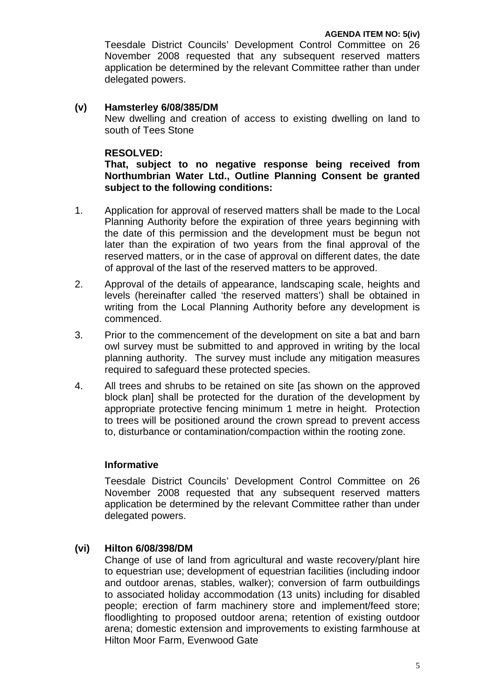Teesdale District Councils' Development Control Committee on 26 November 2008 requested that any subsequent reserved matters application be determined by the relevant Committee rather than under delegated powers.

#### **(v) Hamsterley 6/08/385/DM**

 New dwelling and creation of access to existing dwelling on land to south of Tees Stone

#### **RESOLVED:**

 **That, subject to no negative response being received from Northumbrian Water Ltd., Outline Planning Consent be granted subject to the following conditions:** 

- 1. Application for approval of reserved matters shall be made to the Local Planning Authority before the expiration of three years beginning with the date of this permission and the development must be begun not later than the expiration of two years from the final approval of the reserved matters, or in the case of approval on different dates, the date of approval of the last of the reserved matters to be approved.
- 2. Approval of the details of appearance, landscaping scale, heights and levels (hereinafter called 'the reserved matters') shall be obtained in writing from the Local Planning Authority before any development is commenced.
- 3. Prior to the commencement of the development on site a bat and barn owl survey must be submitted to and approved in writing by the local planning authority. The survey must include any mitigation measures required to safeguard these protected species.
- 4. All trees and shrubs to be retained on site [as shown on the approved block plan] shall be protected for the duration of the development by appropriate protective fencing minimum 1 metre in height. Protection to trees will be positioned around the crown spread to prevent access to, disturbance or contamination/compaction within the rooting zone.

## **Informative**

Teesdale District Councils' Development Control Committee on 26 November 2008 requested that any subsequent reserved matters application be determined by the relevant Committee rather than under delegated powers.

## **(vi) Hilton 6/08/398/DM**

Change of use of land from agricultural and waste recovery/plant hire to equestrian use; development of equestrian facilities (including indoor and outdoor arenas, stables, walker); conversion of farm outbuildings to associated holiday accommodation (13 units) including for disabled people; erection of farm machinery store and implement/feed store; floodlighting to proposed outdoor arena; retention of existing outdoor arena; domestic extension and improvements to existing farmhouse at Hilton Moor Farm, Evenwood Gate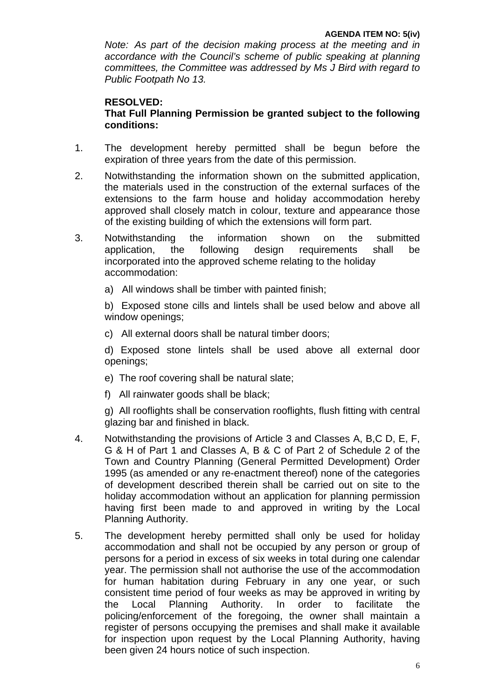*Note: As part of the decision making process at the meeting and in accordance with the Council's scheme of public speaking at planning committees, the Committee was addressed by Ms J Bird with regard to Public Footpath No 13.* 

# **RESOLVED:**

 **That Full Planning Permission be granted subject to the following conditions:** 

- 1. The development hereby permitted shall be begun before the expiration of three years from the date of this permission.
- 2. Notwithstanding the information shown on the submitted application, the materials used in the construction of the external surfaces of the extensions to the farm house and holiday accommodation hereby approved shall closely match in colour, texture and appearance those of the existing building of which the extensions will form part.
- 3. Notwithstanding the information shown on the submitted application, the following design requirements shall be incorporated into the approved scheme relating to the holiday accommodation:
	- a) All windows shall be timber with painted finish;

b) Exposed stone cills and lintels shall be used below and above all window openings;

c) All external doors shall be natural timber doors;

 d) Exposed stone lintels shall be used above all external door openings;

- e) The roof covering shall be natural slate;
- f) All rainwater goods shall be black;

g) All rooflights shall be conservation rooflights, flush fitting with central glazing bar and finished in black.

- 4. Notwithstanding the provisions of Article 3 and Classes A, B,C D, E, F, G & H of Part 1 and Classes A, B & C of Part 2 of Schedule 2 of the Town and Country Planning (General Permitted Development) Order 1995 (as amended or any re-enactment thereof) none of the categories of development described therein shall be carried out on site to the holiday accommodation without an application for planning permission having first been made to and approved in writing by the Local Planning Authority.
- 5. The development hereby permitted shall only be used for holiday accommodation and shall not be occupied by any person or group of persons for a period in excess of six weeks in total during one calendar year. The permission shall not authorise the use of the accommodation for human habitation during February in any one year, or such consistent time period of four weeks as may be approved in writing by the Local Planning Authority. In order to facilitate the policing/enforcement of the foregoing, the owner shall maintain a register of persons occupying the premises and shall make it available for inspection upon request by the Local Planning Authority, having been given 24 hours notice of such inspection.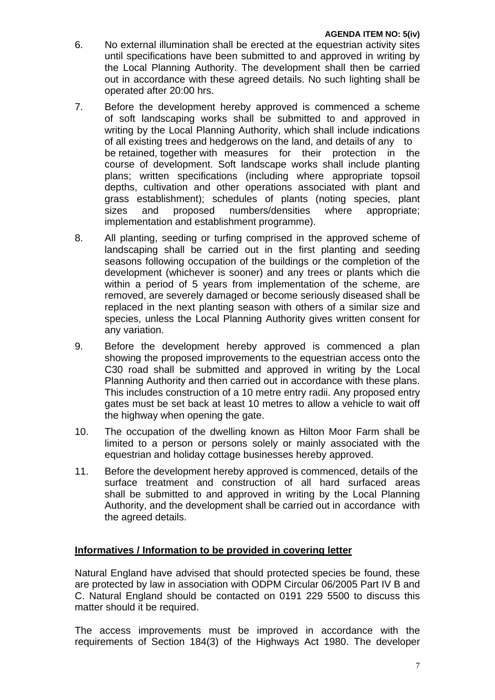- 6. No external illumination shall be erected at the equestrian activity sites until specifications have been submitted to and approved in writing by the Local Planning Authority. The development shall then be carried out in accordance with these agreed details. No such lighting shall be operated after 20:00 hrs.
- 7. Before the development hereby approved is commenced a scheme of soft landscaping works shall be submitted to and approved in writing by the Local Planning Authority, which shall include indications of all existing trees and hedgerows on the land, and details of any to be retained, together with measures for their protection in the course of development. Soft landscape works shall include planting plans; written specifications (including where appropriate topsoil depths, cultivation and other operations associated with plant and grass establishment); schedules of plants (noting species, plant sizes and proposed numbers/densities where appropriate; implementation and establishment programme).
- 8. All planting, seeding or turfing comprised in the approved scheme of landscaping shall be carried out in the first planting and seeding seasons following occupation of the buildings or the completion of the development (whichever is sooner) and any trees or plants which die within a period of 5 years from implementation of the scheme, are removed, are severely damaged or become seriously diseased shall be replaced in the next planting season with others of a similar size and species, unless the Local Planning Authority gives written consent for any variation.
- 9. Before the development hereby approved is commenced a plan showing the proposed improvements to the equestrian access onto the C30 road shall be submitted and approved in writing by the Local Planning Authority and then carried out in accordance with these plans. This includes construction of a 10 metre entry radii. Any proposed entry gates must be set back at least 10 metres to allow a vehicle to wait off the highway when opening the gate.
- 10. The occupation of the dwelling known as Hilton Moor Farm shall be limited to a person or persons solely or mainly associated with the equestrian and holiday cottage businesses hereby approved.
- 11. Before the development hereby approved is commenced, details of the surface treatment and construction of all hard surfaced areas shall be submitted to and approved in writing by the Local Planning Authority, and the development shall be carried out in accordance with the agreed details.

## **Informatives / Information to be provided in covering letter**

Natural England have advised that should protected species be found, these are protected by law in association with ODPM Circular 06/2005 Part IV B and C. Natural England should be contacted on 0191 229 5500 to discuss this matter should it be required.

The access improvements must be improved in accordance with the requirements of Section 184(3) of the Highways Act 1980. The developer